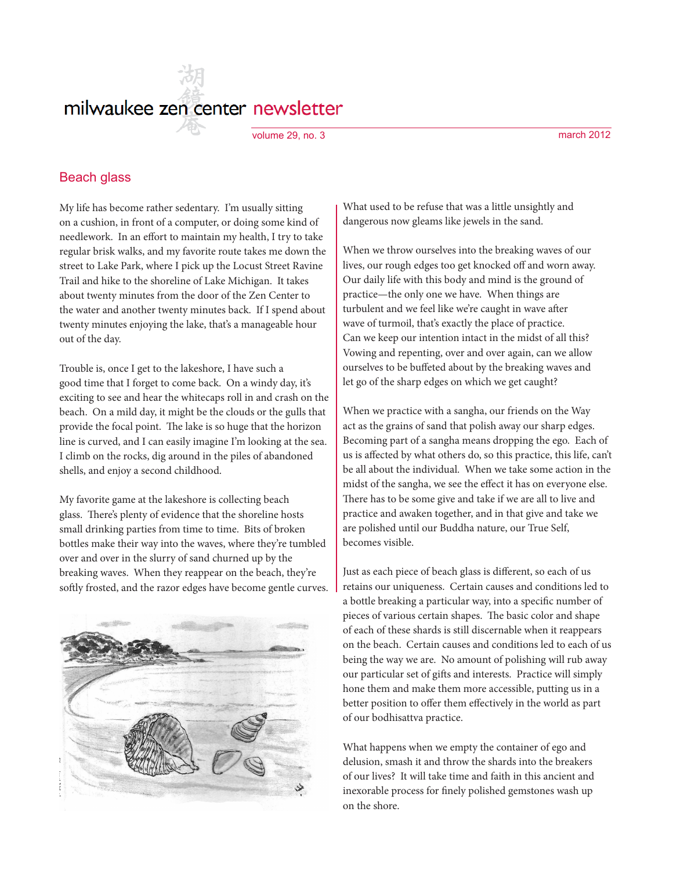# milwaukee zen center newsletter

volume 29, no. 3 march 2012

#### Beach glass

My life has become rather sedentary. I'm usually sitting on a cushion, in front of a computer, or doing some kind of needlework. In an effort to maintain my health, I try to take regular brisk walks, and my favorite route takes me down the street to Lake Park, where I pick up the Locust Street Ravine Trail and hike to the shoreline of Lake Michigan. It takes about twenty minutes from the door of the Zen Center to the water and another twenty minutes back. If I spend about twenty minutes enjoying the lake, that's a manageable hour out of the day.

Trouble is, once I get to the lakeshore, I have such a good time that I forget to come back. On a windy day, it's exciting to see and hear the whitecaps roll in and crash on the beach. On a mild day, it might be the clouds or the gulls that provide the focal point. The lake is so huge that the horizon line is curved, and I can easily imagine I'm looking at the sea. I climb on the rocks, dig around in the piles of abandoned shells, and enjoy a second childhood.

My favorite game at the lakeshore is collecting beach glass. There's plenty of evidence that the shoreline hosts small drinking parties from time to time. Bits of broken bottles make their way into the waves, where they're tumbled over and over in the slurry of sand churned up by the breaking waves. When they reappear on the beach, they're softly frosted, and the razor edges have become gentle curves.



What used to be refuse that was a little unsightly and dangerous now gleams like jewels in the sand.

When we throw ourselves into the breaking waves of our lives, our rough edges too get knocked off and worn away. Our daily life with this body and mind is the ground of practice—the only one we have. When things are turbulent and we feel like we're caught in wave after wave of turmoil, that's exactly the place of practice. Can we keep our intention intact in the midst of all this? Vowing and repenting, over and over again, can we allow ourselves to be buffeted about by the breaking waves and let go of the sharp edges on which we get caught?

When we practice with a sangha, our friends on the Way act as the grains of sand that polish away our sharp edges. Becoming part of a sangha means dropping the ego. Each of us is affected by what others do, so this practice, this life, can't be all about the individual. When we take some action in the midst of the sangha, we see the effect it has on everyone else. There has to be some give and take if we are all to live and practice and awaken together, and in that give and take we are polished until our Buddha nature, our True Self, becomes visible.

Just as each piece of beach glass is different, so each of us retains our uniqueness. Certain causes and conditions led to a bottle breaking a particular way, into a specific number of pieces of various certain shapes. The basic color and shape of each of these shards is still discernable when it reappears on the beach. Certain causes and conditions led to each of us being the way we are. No amount of polishing will rub away our particular set of gifts and interests. Practice will simply hone them and make them more accessible, putting us in a better position to offer them effectively in the world as part of our bodhisattva practice.

What happens when we empty the container of ego and delusion, smash it and throw the shards into the breakers of our lives? It will take time and faith in this ancient and inexorable process for finely polished gemstones wash up on the shore.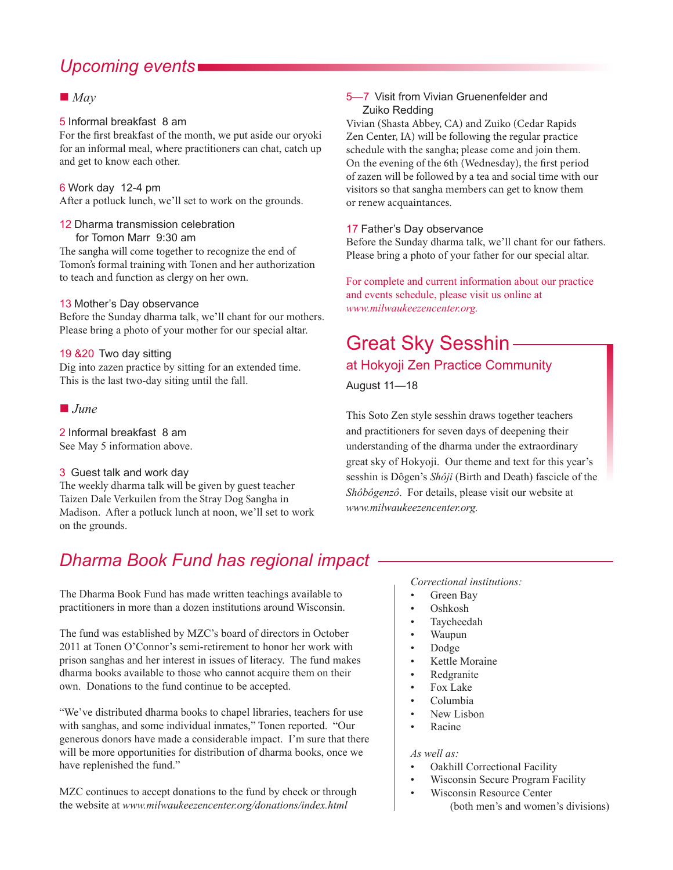# *Upcoming events*

### $\blacksquare$  *May*

#### 5 Informal breakfast 8 am

For the first breakfast of the month, we put aside our oryoki for an informal meal, where practitioners can chat, catch up and get to know each other.

#### 6 Work day 12-4 pm

After a potluck lunch, we'll set to work on the grounds.

# 12 Dharma transmission celebration

for Tomon Marr 9:30 am

The sangha will come together to recognize the end of Tomon's formal training with Tonen and her authorization to teach and function as clergy on her own.

#### 13 Mother's Day observance

Before the Sunday dharma talk, we'll chant for our mothers. Please bring a photo of your mother for our special altar.

#### 19 &20 Two day sitting

Dig into zazen practice by sitting for an extended time. This is the last two-day siting until the fall.

#### $\blacksquare$ *June*

2 Informal breakfast 8 am See May 5 information above.

#### 3 Guest talk and work day

The weekly dharma talk will be given by guest teacher Taizen Dale Verkuilen from the Stray Dog Sangha in Madison. After a potluck lunch at noon, we'll set to work on the grounds.

#### 5—7 Visit from Vivian Gruenenfelder and Zuiko Redding

Vivian (Shasta Abbey, CA) and Zuiko (Cedar Rapids Zen Center, IA) will be following the regular practice schedule with the sangha; please come and join them. On the evening of the 6th (Wednesday), the first period of zazen will be followed by a tea and social time with our visitors so that sangha members can get to know them or renew acquaintances.

#### 17 Father's Day observance

Before the Sunday dharma talk, we'll chant for our fathers. Please bring a photo of your father for our special altar.

For complete and current information about our practice and events schedule, please visit us online at *www.milwaukeezencenter.org.*

# Great Sky Sesshin

# at Hokyoji Zen Practice Community

August 11—18

This Soto Zen style sesshin draws together teachers and practitioners for seven days of deepening their understanding of the dharma under the extraordinary great sky of Hokyoji. Our theme and text for this year's sesshin is Dôgen's *Shôji* (Birth and Death) fascicle of the *Shôbôgenzô*. For details, please visit our website at *www.milwaukeezencenter.org.*

# *Dharma Book Fund has regional impact*

The Dharma Book Fund has made written teachings available to practitioners in more than a dozen institutions around Wisconsin.

The fund was established by MZC's board of directors in October 2011 at Tonen O'Connor's semi-retirement to honor her work with prison sanghas and her interest in issues of literacy. The fund makes dharma books available to those who cannot acquire them on their own. Donations to the fund continue to be accepted.

"We've distributed dharma books to chapel libraries, teachers for use with sanghas, and some individual inmates," Tonen reported. "Our generous donors have made a considerable impact. I'm sure that there will be more opportunities for distribution of dharma books, once we have replenished the fund."

MZC continues to accept donations to the fund by check or through the website at *www.milwaukeezencenter.org/donations/index.html*

*Correctional institutions:*

- Green Bay
- Oshkosh
- Taycheedah
- Waupun
- Dodge
- Kettle Moraine
- **Redgranite**
- Fox Lake
- Columbia
- New Lisbon
- Racine

#### *As well as:*

- Oakhill Correctional Facility
- Wisconsin Secure Program Facility
- Wisconsin Resource Center (both men's and women's divisions)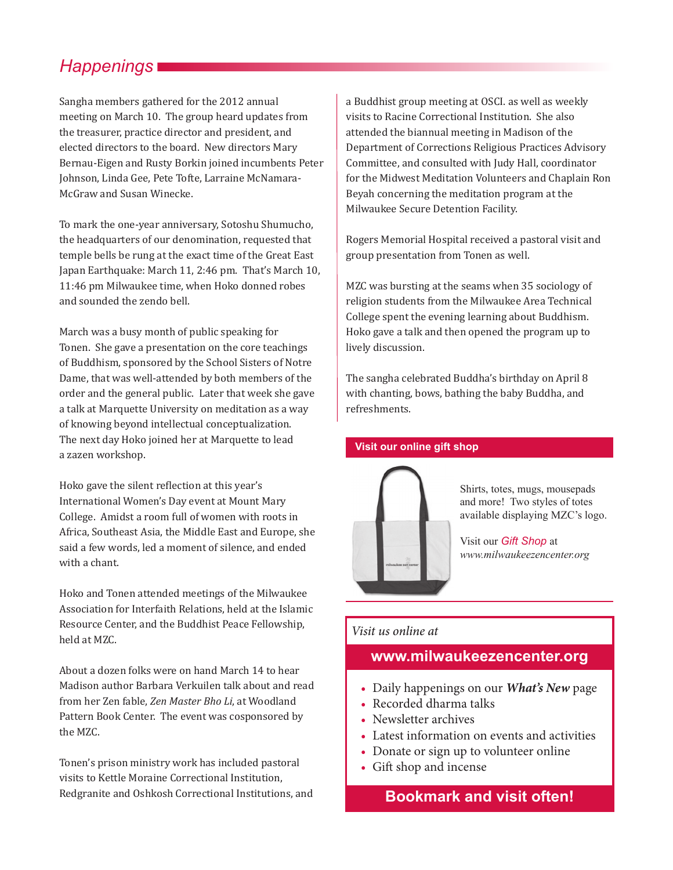# *Happenings*

Sangha members gathered for the 2012 annual meeting on March 10. The group heard updates from the treasurer, practice director and president, and elected directors to the board. New directors Mary Bernau-Eigen and Rusty Borkin joined incumbents Peter Johnson, Linda Gee, Pete Tofte, Larraine McNamara-McGraw and Susan Winecke.

To mark the one-year anniversary, Sotoshu Shumucho, the headquarters of our denomination, requested that temple bells be rung at the exact time of the Great East Japan Earthquake: March 11, 2:46 pm. That's March 10, 11:46 pm Milwaukee time, when Hoko donned robes and sounded the zendo bell.

March was a busy month of public speaking for Tonen. She gave a presentation on the core teachings of Buddhism, sponsored by the School Sisters of Notre Dame, that was well-attended by both members of the order and the general public. Later that week she gave a talk at Marquette University on meditation as a way of knowing beyond intellectual conceptualization. The next day Hoko joined her at Marquette to lead a zazen workshop.

Hoko gave the silent reflection at this year's International Women's Day event at Mount Mary College. Amidst a room full of women with roots in Africa, Southeast Asia, the Middle East and Europe, she said a few words, led a moment of silence, and ended with a chant.

Hoko and Tonen attended meetings of the Milwaukee Association for Interfaith Relations, held at the Islamic Resource Center, and the Buddhist Peace Fellowship, held at MZC.

About a dozen folks were on hand March 14 to hear Madison author Barbara Verkuilen talk about and read from her Zen fable, *Zen Master Bho Li*, at Woodland Pattern Book Center. The event was cosponsored by the MZC.

Tonen's prison ministry work has included pastoral visits to Kettle Moraine Correctional Institution, Redgranite and Oshkosh Correctional Institutions, and a Buddhist group meeting at OSCI. as well as weekly visits to Racine Correctional Institution. She also attended the biannual meeting in Madison of the Department of Corrections Religious Practices Advisory Committee, and consulted with Judy Hall, coordinator for the Midwest Meditation Volunteers and Chaplain Ron Beyah concerning the meditation program at the Milwaukee Secure Detention Facility.

Rogers Memorial Hospital received a pastoral visit and group presentation from Tonen as well.

MZC was bursting at the seams when 35 sociology of religion students from the Milwaukee Area Technical College spent the evening learning about Buddhism. Hoko gave a talk and then opened the program up to lively discussion.

The sangha celebrated Buddha's birthday on April 8 with chanting, bows, bathing the baby Buddha, and refreshments.

#### **Visit our online gift shop**



Shirts, totes, mugs, mousepads and more! Two styles of totes available displaying MZC's logo.

Visit our *Gift Shop* at *www.milwaukeezencenter.org*

### *Visit us online at*

### **www.milwaukeezencenter.org**

- Daily happenings on our *What's New* page
- Recorded dharma talks
- Newsletter archives
- Latest information on events and activities
- Donate or sign up to volunteer online
- Gift shop and incense

# **Bookmark and visit often!**